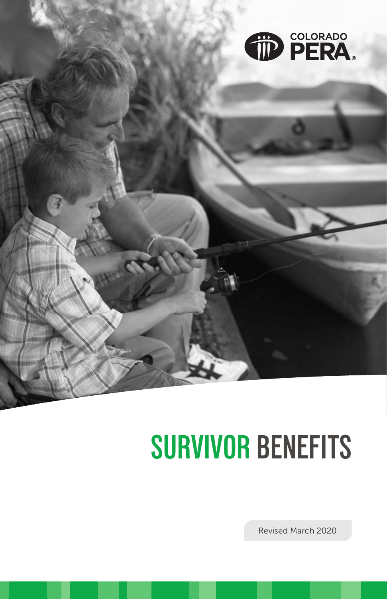

# **SURVIVOR BENEFITS**

Revised March 2020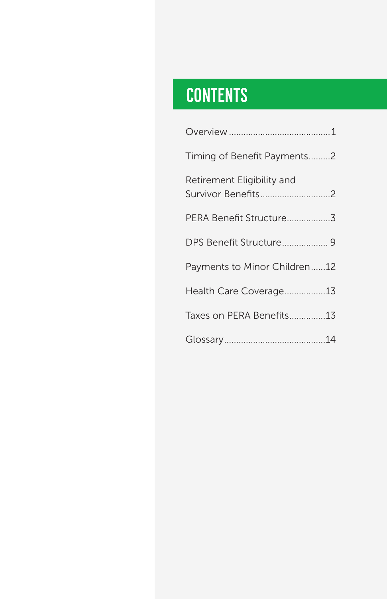# CONTENTS **CONTENTS**

| Timing of Benefit Payments2                      |  |  |
|--------------------------------------------------|--|--|
| Retirement Eligibility and<br>Survivor Benefits2 |  |  |
|                                                  |  |  |
| DPS Benefit Structure 9                          |  |  |
| Payments to Minor Children12                     |  |  |
| Health Care Coverage13                           |  |  |
| Taxes on PERA Benefits13                         |  |  |
|                                                  |  |  |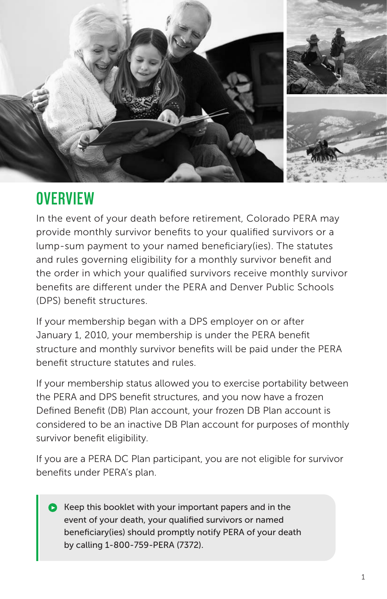

# **OVERVIEW**

In the event of your death before retirement, Colorado PERA may provide monthly survivor benefits to your qualified survivors or a lump-sum payment to your named beneficiary(ies). The statutes and rules governing eligibility for a monthly survivor benefit and the order in which your qualified survivors receive monthly survivor benefits are different under the PERA and Denver Public Schools (DPS) benefit structures.

If your membership began with a DPS employer on or after January 1, 2010, your membership is under the PERA benefit structure and monthly survivor benefits will be paid under the PERA benefit structure statutes and rules.

If your membership status allowed you to exercise portability between the PERA and DPS benefit structures, and you now have a frozen Defined Benefit (DB) Plan account, your frozen DB Plan account is considered to be an inactive DB Plan account for purposes of monthly survivor benefit eligibility.

If you are a PERA DC Plan participant, you are not eligible for survivor benefits under PERA's plan.

 $\bullet$  Keep this booklet with your important papers and in the event of your death, your qualified survivors or named beneficiary(ies) should promptly notify PERA of your death by calling 1-800-759-PERA (7372).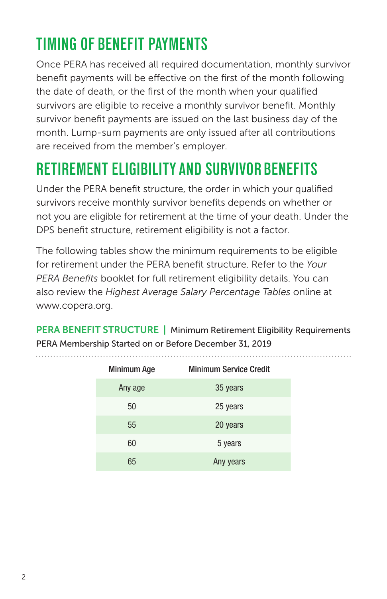# **TIMING OF BENEFIT PAYMENTS**

Once PERA has received all required documentation, monthly survivor benefit payments will be effective on the first of the month following the date of death, or the first of the month when your qualified survivors are eligible to receive a monthly survivor benefit. Monthly survivor benefit payments are issued on the last business day of the month. Lump-sum payments are only issued after all contributions are received from the member's employer.

# **RETIREMENT ELIGIBILITY AND SURVIVOR BENEFITS**

Under the PERA benefit structure, the order in which your qualified survivors receive monthly survivor benefits depends on whether or not you are eligible for retirement at the time of your death. Under the DPS benefit structure, retirement eligibility is not a factor.

The following tables show the minimum requirements to be eligible for retirement under the PERA benefit structure. Refer to the *Your PERA Benefits* booklet for full retirement eligibility details. You can also review the *Highest Average Salary Percentage Tables* online at www.copera.org.

PERA BENEFIT STRUCTURE | Minimum Retirement Eligibility Requirements PERA Membership Started on or Before December 31, 2019

| <b>Minimum Age</b> | <b>Minimum Service Credit</b> |
|--------------------|-------------------------------|
| Any age            | 35 years                      |
| 50                 | 25 years                      |
| 55                 | 20 years                      |
| 60                 | 5 years                       |
| 65                 | Any years                     |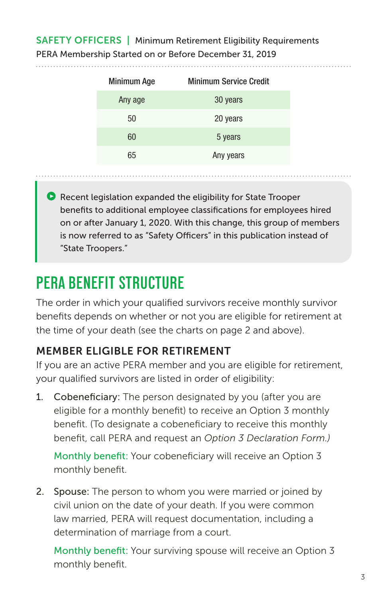### SAFETY OFFICERS | Minimum Retirement Eligibility Requirements PERA Membership Started on or Before December 31, 2019

| <b>Minimum Age</b> | <b>Minimum Service Credit</b> |
|--------------------|-------------------------------|
| Any age            | 30 years                      |
| 50                 | 20 years                      |
| 60                 | 5 years                       |
| 65                 | Any years                     |
|                    |                               |

 $\bullet$  Recent legislation expanded the eligibility for State Trooper benefits to additional employee classifications for employees hired on or after January 1, 2020. With this change, this group of members is now referred to as "Safety Officers" in this publication instead of "State Troopers."

# **PERA BENEFIT STRUCTURE**

The order in which your qualified survivors receive monthly survivor benefits depends on whether or not you are eligible for retirement at the time of your death (see the charts on page 2 and above).

### MEMBER ELIGIBLE FOR RETIREMENT

If you are an active PERA member and you are eligible for retirement, your qualified survivors are listed in order of eligibility:

1. Cobeneficiary: The person designated by you (after you are eligible for a monthly benefit) to receive an Option 3 monthly benefit. (To designate a cobeneficiary to receive this monthly benefit, call PERA and request an *Option 3 Declaration Form.)*

Monthly benefit: Your cobeneficiary will receive an Option 3 monthly benefit.

2. Spouse: The person to whom you were married or joined by civil union on the date of your death. If you were common law married, PERA will request documentation, including a determination of marriage from a court.

Monthly benefit: Your surviving spouse will receive an Option 3 monthly benefit.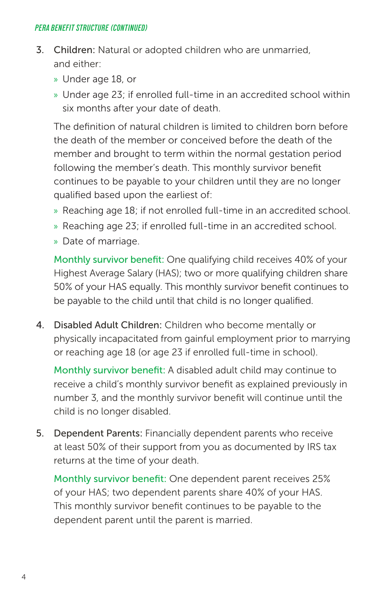#### *PERA BENEFIT STRUCTURE (CONTINUED)*

- 3. Children: Natural or adopted children who are unmarried, and either:
	- » Under age 18, or
	- » Under age 23; if enrolled full-time in an accredited school within six months after your date of death.

The definition of natural children is limited to children born before the death of the member or conceived before the death of the member and brought to term within the normal gestation period following the member's death. This monthly survivor benefit continues to be payable to your children until they are no longer qualified based upon the earliest of:

- » Reaching age 18; if not enrolled full-time in an accredited school.
- » Reaching age 23; if enrolled full-time in an accredited school.
- » Date of marriage.

Monthly survivor benefit: One qualifying child receives 40% of your Highest Average Salary (HAS); two or more qualifying children share 50% of your HAS equally. This monthly survivor benefit continues to be payable to the child until that child is no longer qualified.

4. Disabled Adult Children: Children who become mentally or physically incapacitated from gainful employment prior to marrying or reaching age 18 (or age 23 if enrolled full-time in school).

Monthly survivor benefit: A disabled adult child may continue to receive a child's monthly survivor benefit as explained previously in number 3, and the monthly survivor benefit will continue until the child is no longer disabled.

5. Dependent Parents: Financially dependent parents who receive at least 50% of their support from you as documented by IRS tax returns at the time of your death.

Monthly survivor benefit: One dependent parent receives 25% of your HAS; two dependent parents share 40% of your HAS. This monthly survivor benefit continues to be payable to the dependent parent until the parent is married.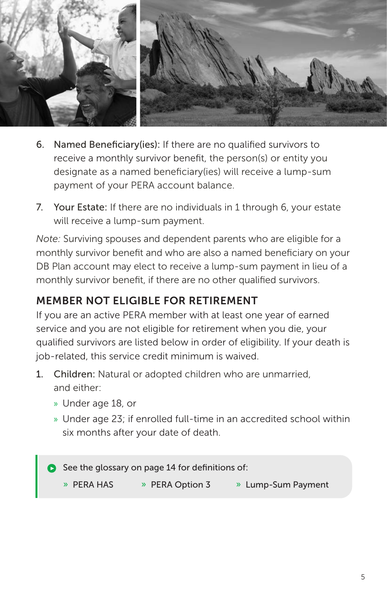

- 6. Named Beneficiary(ies): If there are no qualified survivors to receive a monthly survivor benefit, the person(s) or entity you designate as a named beneficiary(ies) will receive a lump-sum payment of your PERA account balance.
- 7. Your Estate: If there are no individuals in 1 through 6, your estate will receive a lump-sum payment.

*Note:* Surviving spouses and dependent parents who are eligible for a monthly survivor benefit and who are also a named beneficiary on your DB Plan account may elect to receive a lump-sum payment in lieu of a monthly survivor benefit, if there are no other qualified survivors.

### MEMBER NOT ELIGIBLE FOR RETIREMENT

If you are an active PERA member with at least one year of earned service and you are not eligible for retirement when you die, your qualified survivors are listed below in order of eligibility. If your death is job-related, this service credit minimum is waived.

- 1. Children: Natural or adopted children who are unmarried, and either:
	- » Under age 18, or
	- » Under age 23; if enrolled full-time in an accredited school within six months after your date of death.

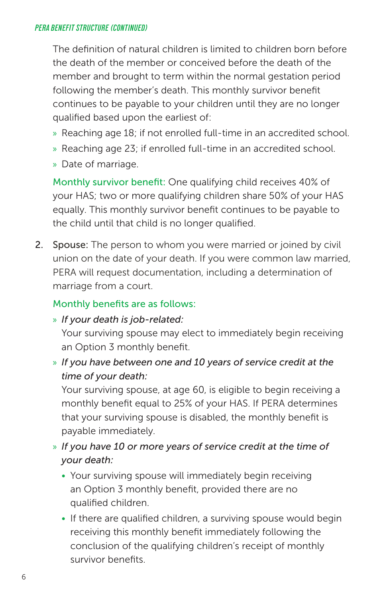#### *PERA BENEFIT STRUCTURE (CONTINUED)*

The definition of natural children is limited to children born before the death of the member or conceived before the death of the member and brought to term within the normal gestation period following the member's death. This monthly survivor benefit continues to be payable to your children until they are no longer qualified based upon the earliest of:

- » Reaching age 18; if not enrolled full-time in an accredited school.
- » Reaching age 23; if enrolled full-time in an accredited school.
- » Date of marriage.

Monthly survivor benefit: One qualifying child receives 40% of your HAS; two or more qualifying children share 50% of your HAS equally. This monthly survivor benefit continues to be payable to the child until that child is no longer qualified.

2. Spouse: The person to whom you were married or joined by civil union on the date of your death. If you were common law married, PERA will request documentation, including a determination of marriage from a court.

#### Monthly benefits are as follows:

#### » *If your death is job-related:*

Your surviving spouse may elect to immediately begin receiving an Option 3 monthly benefit.

» *If you have between one and 10 years of service credit at the time of your death:*

Your surviving spouse, at age 60, is eligible to begin receiving a monthly benefit equal to 25% of your HAS. If PERA determines that your surviving spouse is disabled, the monthly benefit is payable immediately.

- » *If you have 10 or more years of service credit at the time of your death:*
	- Your surviving spouse will immediately begin receiving an Option 3 monthly benefit, provided there are no qualified children.
	- If there are qualified children, a surviving spouse would begin receiving this monthly benefit immediately following the conclusion of the qualifying children's receipt of monthly survivor benefits.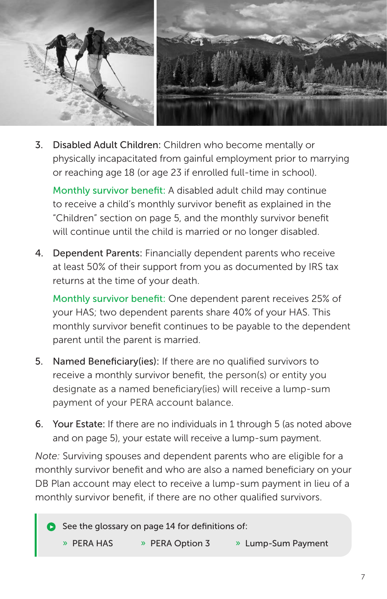

3. Disabled Adult Children: Children who become mentally or physically incapacitated from gainful employment prior to marrying or reaching age 18 (or age 23 if enrolled full-time in school).

Monthly survivor benefit: A disabled adult child may continue to receive a child's monthly survivor benefit as explained in the "Children" section on page 5, and the monthly survivor benefit will continue until the child is married or no longer disabled.

4. Dependent Parents: Financially dependent parents who receive at least 50% of their support from you as documented by IRS tax returns at the time of your death.

Monthly survivor benefit: One dependent parent receives 25% of your HAS; two dependent parents share 40% of your HAS. This monthly survivor benefit continues to be payable to the dependent parent until the parent is married.

- 5. Named Beneficiary(ies): If there are no qualified survivors to receive a monthly survivor benefit, the person(s) or entity you designate as a named beneficiary(ies) will receive a lump-sum payment of your PERA account balance.
- 6. Your Estate: If there are no individuals in 1 through 5 (as noted above and on page 5), your estate will receive a lump-sum payment.

*Note:* Surviving spouses and dependent parents who are eligible for a monthly survivor benefit and who are also a named beneficiary on your DB Plan account may elect to receive a lump-sum payment in lieu of a monthly survivor benefit, if there are no other qualified survivors.

 $\bullet$  See the glossary on page 14 for definitions of: » PERA HAS » PERA Option 3 » Lump-Sum Payment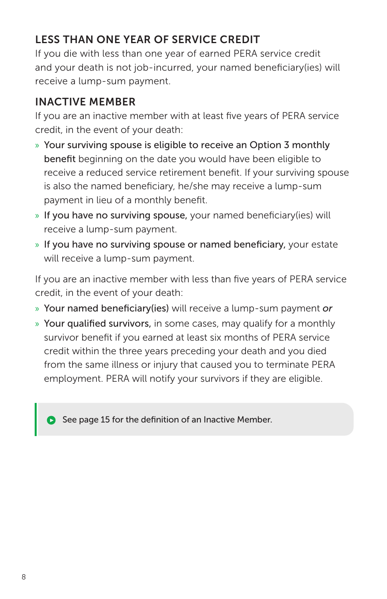# LESS THAN ONE YEAR OF SERVICE CREDIT

If you die with less than one year of earned PERA service credit and your death is not job-incurred, your named beneficiary(ies) will receive a lump-sum payment.

### INACTIVE MEMBER

If you are an inactive member with at least five years of PERA service credit, in the event of your death:

- » Your surviving spouse is eligible to receive an Option 3 monthly benefit beginning on the date you would have been eligible to receive a reduced service retirement benefit. If your surviving spouse is also the named beneficiary, he/she may receive a lump-sum payment in lieu of a monthly benefit.
- » If you have no surviving spouse, your named beneficiary(ies) will receive a lump-sum payment.
- » If you have no surviving spouse or named beneficiary, your estate will receive a lump-sum payment.

If you are an inactive member with less than five years of PERA service credit, in the event of your death:

- » Your named beneficiary(ies) will receive a lump-sum payment *or*
- » Your qualified survivors, in some cases, may qualify for a monthly survivor benefit if you earned at least six months of PERA service credit within the three years preceding your death and you died from the same illness or injury that caused you to terminate PERA employment. PERA will notify your survivors if they are eligible.

See page 15 for the definition of an Inactive Member.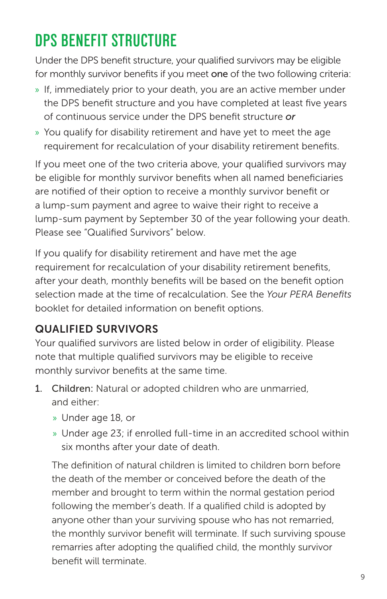# **DPS BENEFIT STRUCTURE**

Under the DPS benefit structure, your qualified survivors may be eligible for monthly survivor benefits if you meet one of the two following criteria:

- » If, immediately prior to your death, you are an active member under the DPS benefit structure and you have completed at least five years of continuous service under the DPS benefit structure *or*
- » You qualify for disability retirement and have yet to meet the age requirement for recalculation of your disability retirement benefits.

If you meet one of the two criteria above, your qualified survivors may be eligible for monthly survivor benefits when all named beneficiaries are notified of their option to receive a monthly survivor benefit or a lump-sum payment and agree to waive their right to receive a lump-sum payment by September 30 of the year following your death. Please see "Qualified Survivors" below.

If you qualify for disability retirement and have met the age requirement for recalculation of your disability retirement benefits, after your death, monthly benefits will be based on the benefit option selection made at the time of recalculation. See the *Your PERA Benefits*  booklet for detailed information on benefit options.

# QUALIFIED SURVIVORS

Your qualified survivors are listed below in order of eligibility. Please note that multiple qualified survivors may be eligible to receive monthly survivor benefits at the same time.

- 1. Children: Natural or adopted children who are unmarried, and either:
	- » Under age 18, or
	- » Under age 23; if enrolled full-time in an accredited school within six months after your date of death.

 The definition of natural children is limited to children born before the death of the member or conceived before the death of the member and brought to term within the normal gestation period following the member's death. If a qualified child is adopted by anyone other than your surviving spouse who has not remarried, the monthly survivor benefit will terminate. If such surviving spouse remarries after adopting the qualified child, the monthly survivor benefit will terminate.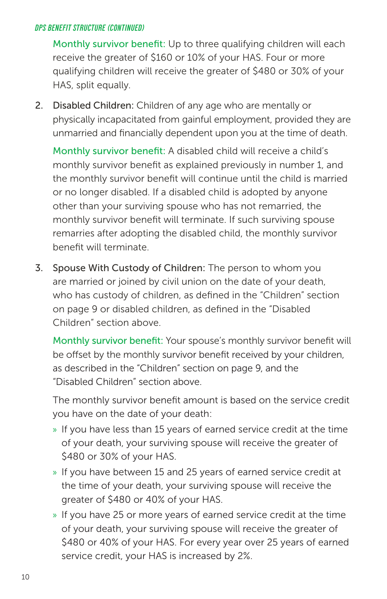#### *DPS BENEFIT STRUCTURE (CONTINUED)*

Monthly survivor benefit: Up to three qualifying children will each receive the greater of \$160 or 10% of your HAS. Four or more qualifying children will receive the greater of \$480 or 30% of your HAS, split equally.

2. Disabled Children: Children of any age who are mentally or physically incapacitated from gainful employment, provided they are unmarried and financially dependent upon you at the time of death.

Monthly survivor benefit: A disabled child will receive a child's monthly survivor benefit as explained previously in number 1, and the monthly survivor benefit will continue until the child is married or no longer disabled. If a disabled child is adopted by anyone other than your surviving spouse who has not remarried, the monthly survivor benefit will terminate. If such surviving spouse remarries after adopting the disabled child, the monthly survivor benefit will terminate.

3. Spouse With Custody of Children: The person to whom you are married or joined by civil union on the date of your death, who has custody of children, as defined in the "Children" section on page 9 or disabled children, as defined in the "Disabled Children" section above.

Monthly survivor benefit: Your spouse's monthly survivor benefit will be offset by the monthly survivor benefit received by your children, as described in the "Children" section on page 9, and the "Disabled Children" section above.

The monthly survivor benefit amount is based on the service credit you have on the date of your death:

- » If you have less than 15 years of earned service credit at the time of your death, your surviving spouse will receive the greater of \$480 or 30% of your HAS.
- » If you have between 15 and 25 years of earned service credit at the time of your death, your surviving spouse will receive the greater of \$480 or 40% of your HAS.
- » If you have 25 or more years of earned service credit at the time of your death, your surviving spouse will receive the greater of \$480 or 40% of your HAS. For every year over 25 years of earned service credit, your HAS is increased by 2%.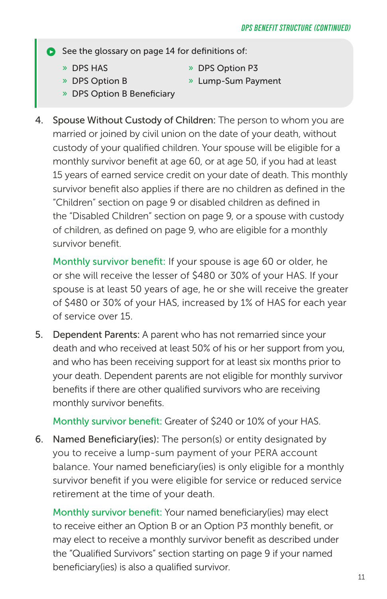$\bullet$  See the glossary on page 14 for definitions of:

- 
- » DPS HAS » DPS Option P3
- » DPS Option B » Lump-Sum Payment
- 
- » DPS Option B Beneficiary
- 4. Spouse Without Custody of Children: The person to whom you are married or joined by civil union on the date of your death, without custody of your qualified children. Your spouse will be eligible for a monthly survivor benefit at age 60, or at age 50, if you had at least 15 years of earned service credit on your date of death. This monthly survivor benefit also applies if there are no children as defined in the "Children" section on page 9 or disabled children as defined in the "Disabled Children" section on page 9, or a spouse with custody of children, as defined on page 9, who are eligible for a monthly survivor benefit.

Monthly survivor benefit: If your spouse is age 60 or older, he or she will receive the lesser of \$480 or 30% of your HAS. If your spouse is at least 50 years of age, he or she will receive the greater of \$480 or 30% of your HAS, increased by 1% of HAS for each year of service over 15.

5. Dependent Parents: A parent who has not remarried since your death and who received at least 50% of his or her support from you, and who has been receiving support for at least six months prior to your death. Dependent parents are not eligible for monthly survivor benefits if there are other qualified survivors who are receiving monthly survivor benefits.

Monthly survivor benefit: Greater of \$240 or 10% of your HAS.

6. Named Beneficiary(ies): The person(s) or entity designated by you to receive a lump-sum payment of your PERA account balance. Your named beneficiary(ies) is only eligible for a monthly survivor benefit if you were eligible for service or reduced service retirement at the time of your death.

Monthly survivor benefit: Your named beneficiary(ies) may elect to receive either an Option B or an Option P3 monthly benefit, or may elect to receive a monthly survivor benefit as described under the "Qualified Survivors" section starting on page 9 if your named beneficiary(ies) is also a qualified survivor.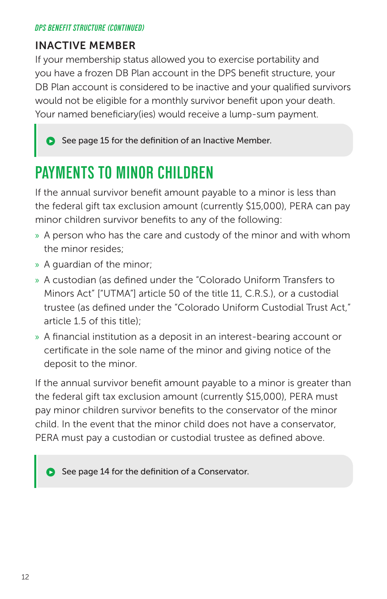#### *DPS BENEFIT STRUCTURE (CONTINUED)*

#### INACTIVE MEMBER

If your membership status allowed you to exercise portability and you have a frozen DB Plan account in the DPS benefit structure, your DB Plan account is considered to be inactive and your qualified survivors would not be eligible for a monthly survivor benefit upon your death. Your named beneficiary(ies) would receive a lump-sum payment.

See page 15 for the definition of an Inactive Member.

# **PAYMENTS TO MINOR CHILDREN**

If the annual survivor benefit amount payable to a minor is less than the federal gift tax exclusion amount (currently \$15,000), PERA can pay minor children survivor benefits to any of the following:

- » A person who has the care and custody of the minor and with whom the minor resides;
- » A guardian of the minor;
- » A custodian (as defined under the "Colorado Uniform Transfers to Minors Act" ["UTMA"] article 50 of the title 11, C.R.S.), or a custodial trustee (as defined under the "Colorado Uniform Custodial Trust Act," article 1.5 of this title);
- » A financial institution as a deposit in an interest-bearing account or certificate in the sole name of the minor and giving notice of the deposit to the minor.

If the annual survivor benefit amount payable to a minor is greater than the federal gift tax exclusion amount (currently \$15,000), PERA must pay minor children survivor benefits to the conservator of the minor child. In the event that the minor child does not have a conservator, PERA must pay a custodian or custodial trustee as defined above.

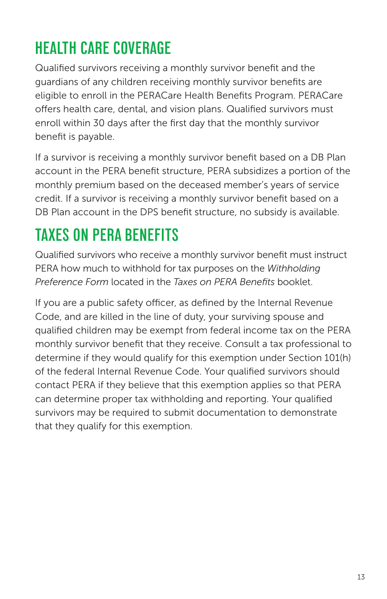# **HEALTH CARE COVERAGE**

Qualified survivors receiving a monthly survivor benefit and the guardians of any children receiving monthly survivor benefits are eligible to enroll in the PERACare Health Benefits Program. PERACare offers health care, dental, and vision plans. Qualified survivors must enroll within 30 days after the first day that the monthly survivor benefit is payable.

If a survivor is receiving a monthly survivor benefit based on a DB Plan account in the PERA benefit structure, PERA subsidizes a portion of the monthly premium based on the deceased member's years of service credit. If a survivor is receiving a monthly survivor benefit based on a DB Plan account in the DPS benefit structure, no subsidy is available.

# **TAXES ON PERA BENEFITS**

Qualified survivors who receive a monthly survivor benefit must instruct PERA how much to withhold for tax purposes on the *Withholding Preference Form* located in the *Taxes on PERA Benefits* booklet.

If you are a public safety officer, as defined by the Internal Revenue Code, and are killed in the line of duty, your surviving spouse and qualified children may be exempt from federal income tax on the PERA monthly survivor benefit that they receive. Consult a tax professional to determine if they would qualify for this exemption under Section 101(h) of the federal Internal Revenue Code. Your qualified survivors should contact PERA if they believe that this exemption applies so that PERA can determine proper tax withholding and reporting. Your qualified survivors may be required to submit documentation to demonstrate that they qualify for this exemption.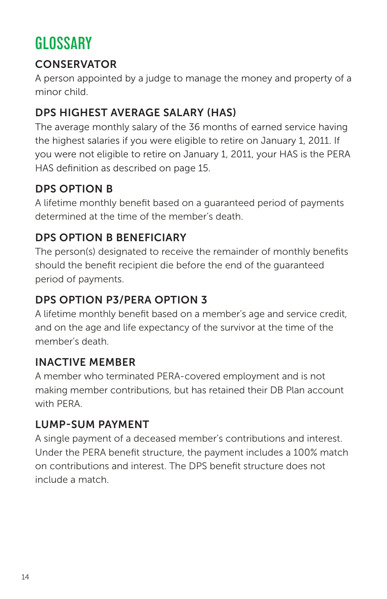# **GLOSSARY**

### **CONSERVATOR**

A person appointed by a judge to manage the money and property of a minor child.

# DPS HIGHEST AVERAGE SALARY (HAS)

The average monthly salary of the 36 months of earned service having the highest salaries if you were eligible to retire on January 1, 2011. If you were not eligible to retire on January 1, 2011, your HAS is the PERA HAS definition as described on page 15.

### DPS OPTION B

A lifetime monthly benefit based on a guaranteed period of payments determined at the time of the member's death.

### DPS OPTION B BENEFICIARY

The person(s) designated to receive the remainder of monthly benefits should the benefit recipient die before the end of the guaranteed period of payments.

# DPS OPTION P3/PERA OPTION 3

A lifetime monthly benefit based on a member's age and service credit, and on the age and life expectancy of the survivor at the time of the member's death.

### INACTIVE MEMBER

A member who terminated PERA-covered employment and is not making member contributions, but has retained their DB Plan account with PFRA

### LUMP-SUM PAYMENT

A single payment of a deceased member's contributions and interest. Under the PERA benefit structure, the payment includes a 100% match on contributions and interest. The DPS benefit structure does not include a match.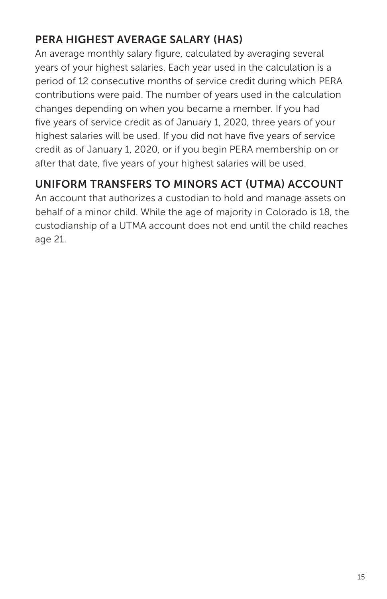# PERA HIGHEST AVERAGE SALARY (HAS)

An average monthly salary figure, calculated by averaging several years of your highest salaries. Each year used in the calculation is a period of 12 consecutive months of service credit during which PERA contributions were paid. The number of years used in the calculation changes depending on when you became a member. If you had five years of service credit as of January 1, 2020, three years of your highest salaries will be used. If you did not have five years of service credit as of January 1, 2020, or if you begin PERA membership on or after that date, five years of your highest salaries will be used.

# UNIFORM TRANSFERS TO MINORS ACT (UTMA) ACCOUNT

An account that authorizes a custodian to hold and manage assets on behalf of a minor child. While the age of majority in Colorado is 18, the custodianship of a UTMA account does not end until the child reaches age 21.